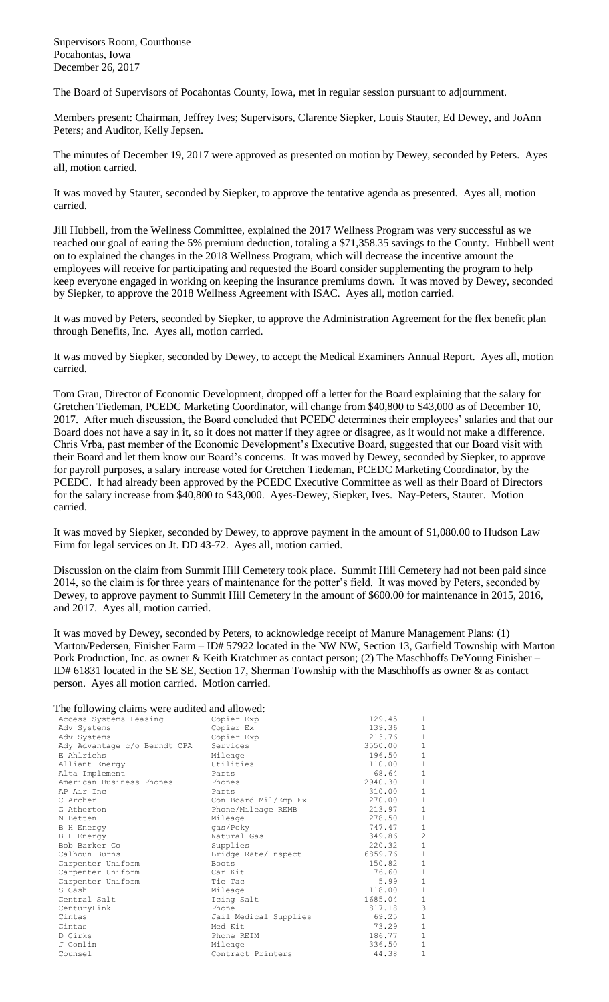Supervisors Room, Courthouse Pocahontas, Iowa December 26, 2017

The Board of Supervisors of Pocahontas County, Iowa, met in regular session pursuant to adjournment.

Members present: Chairman, Jeffrey Ives; Supervisors, Clarence Siepker, Louis Stauter, Ed Dewey, and JoAnn Peters; and Auditor, Kelly Jepsen.

The minutes of December 19, 2017 were approved as presented on motion by Dewey, seconded by Peters. Ayes all, motion carried.

It was moved by Stauter, seconded by Siepker, to approve the tentative agenda as presented. Ayes all, motion carried.

Jill Hubbell, from the Wellness Committee, explained the 2017 Wellness Program was very successful as we reached our goal of earing the 5% premium deduction, totaling a \$71,358.35 savings to the County. Hubbell went on to explained the changes in the 2018 Wellness Program, which will decrease the incentive amount the employees will receive for participating and requested the Board consider supplementing the program to help keep everyone engaged in working on keeping the insurance premiums down. It was moved by Dewey, seconded by Siepker, to approve the 2018 Wellness Agreement with ISAC. Ayes all, motion carried.

It was moved by Peters, seconded by Siepker, to approve the Administration Agreement for the flex benefit plan through Benefits, Inc. Ayes all, motion carried.

It was moved by Siepker, seconded by Dewey, to accept the Medical Examiners Annual Report. Ayes all, motion carried.

Tom Grau, Director of Economic Development, dropped off a letter for the Board explaining that the salary for Gretchen Tiedeman, PCEDC Marketing Coordinator, will change from \$40,800 to \$43,000 as of December 10, 2017. After much discussion, the Board concluded that PCEDC determines their employees' salaries and that our Board does not have a say in it, so it does not matter if they agree or disagree, as it would not make a difference. Chris Vrba, past member of the Economic Development's Executive Board, suggested that our Board visit with their Board and let them know our Board's concerns. It was moved by Dewey, seconded by Siepker, to approve for payroll purposes, a salary increase voted for Gretchen Tiedeman, PCEDC Marketing Coordinator, by the PCEDC. It had already been approved by the PCEDC Executive Committee as well as their Board of Directors for the salary increase from \$40,800 to \$43,000. Ayes-Dewey, Siepker, Ives. Nay-Peters, Stauter. Motion carried.

It was moved by Siepker, seconded by Dewey, to approve payment in the amount of \$1,080.00 to Hudson Law Firm for legal services on Jt. DD 43-72. Ayes all, motion carried.

Discussion on the claim from Summit Hill Cemetery took place. Summit Hill Cemetery had not been paid since 2014, so the claim is for three years of maintenance for the potter's field. It was moved by Peters, seconded by Dewey, to approve payment to Summit Hill Cemetery in the amount of \$600.00 for maintenance in 2015, 2016, and 2017. Ayes all, motion carried.

It was moved by Dewey, seconded by Peters, to acknowledge receipt of Manure Management Plans: (1) Marton/Pedersen, Finisher Farm – ID# 57922 located in the NW NW, Section 13, Garfield Township with Marton Pork Production, Inc. as owner & Keith Kratchmer as contact person; (2) The Maschhoffs DeYoung Finisher – ID# 61831 located in the SE SE, Section 17, Sherman Township with the Maschhoffs as owner & as contact person. Ayes all motion carried. Motion carried.

The following claims were audited and allowed:

| The TOTOWING CRIMINS WERE address and allowed. |         |                |
|------------------------------------------------|---------|----------------|
| Copier Exp                                     | 129.45  | 1              |
| Copier Ex                                      | 139.36  | $\mathbf{1}$   |
| Copier Exp                                     | 213.76  | $\mathbf 1$    |
| Services                                       | 3550.00 | $1\,$          |
| Mileage                                        | 196.50  | $\,1\,$        |
| Utilities                                      | 110.00  | $\mathbf 1$    |
| Parts                                          | 68.64   | $\mathbf 1$    |
| Phones                                         | 2940.30 | $\,1\,$        |
| Parts                                          | 310.00  | $\mathbf 1$    |
| Con Board Mil/Emp Ex                           | 270.00  | $\,1\,$        |
| Phone/Mileage REMB                             | 213.97  | $\,1\,$        |
| Mileage                                        | 278.50  | $\,1\,$        |
| qas/Poky                                       | 747.47  | $1\,$          |
| Natural Gas                                    | 349.86  | $\overline{c}$ |
| Supplies                                       | 220.32  | $\,1\,$        |
| Bridge Rate/Inspect                            | 6859.76 | $\mathbf 1$    |
| Boots                                          | 150.82  | $\,1\,$        |
| Car Kit                                        | 76.60   | $\mathbf 1$    |
| Tie Tac                                        | 5.99    | $\mathbf 1$    |
| Mileage                                        | 118.00  | $\,1\,$        |
| Icing Salt                                     | 1685.04 | $\,1$          |
| Phone                                          | 817.18  | 3              |
| Jail Medical Supplies                          | 69.25   | $1\,$          |
| Med Kit                                        | 73.29   | $1\,$          |
| Phone REIM                                     | 186.77  | $\mathbf 1$    |
| Mileage                                        | 336.50  | $\mathbf{1}$   |
| Contract Printers                              | 44.38   | $\mathbf 1$    |
|                                                |         |                |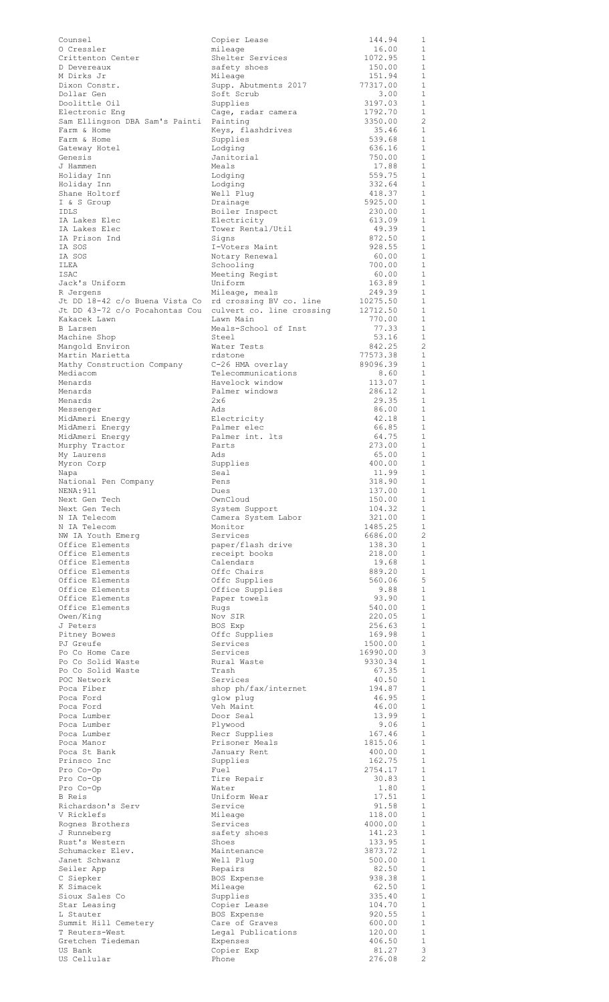| Counsel                                                | Copier Lease                           | 144.94              | 1                              |
|--------------------------------------------------------|----------------------------------------|---------------------|--------------------------------|
| 0 Cressler<br>Crittenton Center                        | mileage<br>Shelter Services            | 16.00<br>1072.95    | 1<br>$\mathbf{1}$              |
| D Devereaux                                            | safety shoes                           | 150.00              | $\mathbf{1}$                   |
| M Dirks Jr<br>Dixon Constr.                            | Mileage<br>Supp. Abutments 2017        | 151.94<br>77317.00  | $\mathbf{1}$<br>$\mathbf{1}$   |
| Dollar Gen                                             | Soft Scrub                             | 3.00                | $\mathbf{1}$                   |
| Doolittle Oil                                          | Supplies                               | 3197.03             | 1                              |
| Electronic Eng<br>Sam Ellingson DBA Sam's Painti       | Cage, radar camera<br>Painting         | 1792.70<br>3350.00  | $\mathbf 1$<br>$\overline{c}$  |
| Farm & Home                                            | Keys, flashdrives                      | 35.46               | $\mathbf{1}$                   |
| Farm & Home                                            | Supplies                               | 539.68              | 1                              |
| Gateway Hotel<br>Genesis                               | Lodging<br>Janitorial                  | 636.16<br>750.00    | $\mathbf 1$<br>$\mathbf{1}$    |
| J Hammen                                               | Meals                                  | 17.88               | $\mathbf{1}$                   |
| Holiday Inn                                            | Lodging                                | 559.75              | 1<br>$\mathbf{1}$              |
| Holiday Inn<br>Shane Holtorf                           | Lodging<br>Well Plug                   | 332.64<br>418.37    | 1                              |
| I & S Group                                            | Drainage                               | 5925.00             | $\mathbf{1}$                   |
| <b>IDLS</b><br>IA Lakes Elec                           | Boiler Inspect<br>Electricity          | 230.00<br>613.09    | 1<br>$\mathbf{1}$              |
| IA Lakes Elec                                          | Tower Rental/Util                      | 49.39               | $\mathbf 1$                    |
| IA Prison Ind                                          | Signs                                  | 872.50              | $\mathbf{1}$                   |
| IA SOS<br>IA SOS                                       | I-Voters Maint<br>Notary Renewal       | 928.55<br>60.00     | $\mathbf{1}$<br>$\mathbf{1}$   |
| ILEA                                                   | Schooling                              | 700.00              | $\mathbf 1$                    |
| ISAC                                                   | Meeting Regist                         | 60.00               | $\mathbf{1}$                   |
| Jack's Uniform<br>R Jergens                            | Uniform<br>Mileage, meals              | 163.89<br>249.39    | $\mathbf 1$<br>1               |
| Jt DD 18-42 c/o Buena Vista Co rd crossing BV co. line |                                        | 10275.50            | $\mathbf{1}$                   |
| Jt DD 43-72 c/o Pocahontas Cou<br>Kakacek Lawn         | culvert co. line crossing<br>Lawn Main | 12712.50<br>770.00  | $\mathbf{1}$<br>$\mathbf{1}$   |
| B Larsen                                               | Meals-School of Inst                   | 77.33               | 1                              |
| Machine Shop                                           | Steel                                  | 53.16               | 1                              |
| Mangold Environ<br>Martin Marietta                     | Water Tests<br>rdstone                 | 842.25<br>77573.38  | $\overline{c}$<br>$\mathbf{1}$ |
| Mathy Construction Company                             | C-26 HMA overlay                       | 89096.39            | 1                              |
| Mediacom                                               | Telecommunications                     | 8.60                | 1                              |
| Menards<br>Menards                                     | Havelock window<br>Palmer windows      | 113.07<br>286.12    | 1<br>$\mathbf{1}$              |
| Menards                                                | 2x6                                    | 29.35               | 1                              |
| Messenger                                              | Ads                                    | 86.00               | $\mathbf{1}$                   |
| MidAmeri Energy<br>MidAmeri Energy                     | Electricity<br>Palmer elec             | 42.18<br>66.85      | 1<br>1                         |
| MidAmeri Energy                                        | Palmer int. lts                        | 64.75               | 1                              |
| Murphy Tractor                                         | Parts<br>Ads                           | 273.00<br>65.00     | $\mathbf{1}$<br>$\mathbf{1}$   |
| My Laurens<br>Myron Corp                               | Supplies                               | 400.00              | $\mathbf{1}$                   |
| Napa                                                   | Seal                                   | 11.99               | 1                              |
| National Pen Company<br>NENA: 911                      | Pens<br>Dues                           | 318.90<br>137.00    | $\overline{1}$<br>1            |
| Next Gen Tech                                          | OwnCloud                               | 150.00              | $\mathbf{1}$                   |
| Next Gen Tech                                          | System Support                         | 104.32              | $\mathbf{1}$                   |
| N IA Telecom<br>N IA Telecom                           | Camera System Labor<br>Monitor         | 321.00<br>1485.25   | $\mathbf{1}$<br>$\mathbf{1}$   |
| NW IA Youth Emerg                                      | Services                               | 6686.00             | $\overline{c}$                 |
| Office Elements                                        | paper/flash drive                      | 138.30              | 1                              |
| Office Elements<br>Office Elements                     | receipt books<br>Calendars             | 218.00<br>19.68     | $\mathbf{1}$<br>1              |
| Office Elements                                        | Offc Chairs                            | 889.20              | $\mathbf{1}$                   |
| Office Elements<br>Office Elements                     | Offc Supplies                          | 560.06<br>9.88      | 5<br>$\mathbf{1}$              |
| Office Elements                                        | Office Supplies<br>Paper towels        | 93.90               | 1                              |
| Office Elements                                        | Rugs                                   | 540.00              | 1                              |
| Owen/King<br>J Peters                                  | Nov SIR<br>BOS Exp                     | 220.05<br>256.63    | $\mathbf{1}$<br>1              |
| Pitney Bowes                                           | Offc Supplies                          | 169.98              | 1                              |
| PJ Greufe                                              | Services                               | 1500.00             | 1                              |
| Po Co Home Care<br>Po Co Solid Waste                   | Services<br>Rural Waste                | 16990.00<br>9330.34 | 3<br>$\mathbf{1}$              |
| Po Co Solid Waste                                      | Trash                                  | 67.35               | 1                              |
| POC Network                                            | Services                               | 40.50               | 1<br>$\mathbf{1}$              |
| Poca Fiber<br>Poca Ford                                | shop ph/fax/internet<br>glow plug      | 194.87<br>46.95     | 1                              |
| Poca Ford                                              | Veh Maint                              | 46.00               | $\mathbf{1}$                   |
| Poca Lumber<br>Poca Lumber                             | Door Seal<br>Plywood                   | 13.99<br>9.06       | $\mathbf{1}$<br>$\mathbf{1}$   |
| Poca Lumber                                            | Recr Supplies                          | 167.46              | $\mathbf{1}$                   |
| Poca Manor                                             | Prisoner Meals                         | 1815.06             | 1                              |
| Poca St Bank<br>Prinsco Inc                            | January Rent<br>Supplies               | 400.00<br>162.75    | 1<br>1                         |
| Pro Co-Op                                              | Fuel                                   | 2754.17             | 1                              |
| Pro Co-Op                                              | Tire Repair<br>Water                   | 30.83<br>1.80       | 1<br>1                         |
| Pro Co-Op<br>B Reis                                    | Uniform Wear                           | 17.51               | $\mathbf{1}$                   |
| Richardson's Serv                                      | Service                                | 91.58               | $\mathbf{1}$                   |
| V Ricklefs<br>Rognes Brothers                          | Mileage<br>Services                    | 118.00<br>4000.00   | 1<br>$\mathbf{1}$              |
| J Runneberg                                            | safety shoes                           | 141.23              | $\mathbf{1}$                   |
| Rust's Western                                         | Shoes                                  | 133.95              | $\mathbf{1}$                   |
| Schumacker Elev.<br>Janet Schwanz                      | Maintenance<br>Well Plug               | 3873.72<br>500.00   | $\mathbf{1}$<br>1              |
| Seiler App                                             | Repairs                                | 82.50               | $\mathbf{1}$                   |
| C Siepker<br>K Simacek                                 | BOS Expense<br>Mileage                 | 938.38<br>62.50     | 1<br>$\mathbf{1}$              |
| Sioux Sales Co                                         | Supplies                               | 335.40              | 1                              |
| Star Leasing                                           | Copier Lease                           | 104.70              | $\mathbf{1}$                   |
| L Stauter<br>Summit Hill Cemetery                      | BOS Expense<br>Care of Graves          | 920.55<br>600.00    | $\mathbf{1}$<br>$1\,$          |
| T Reuters-West                                         | Legal Publications                     | 120.00              | 1                              |
| Gretchen Tiedeman<br>US Bank                           | Expenses<br>Copier Exp                 | 406.50<br>81.27     | $\mathbf{1}$<br>3              |
| US Cellular                                            | Phone                                  | 276.08              | $\overline{c}$                 |